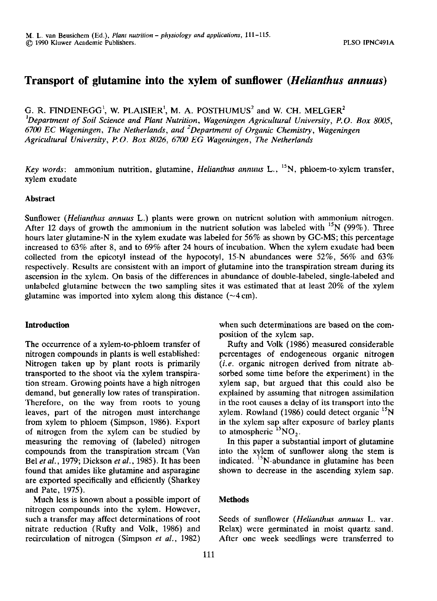# **Transport of glutamine into the xylem of sunflower** *{Helianthus annuus)*

G. R. FINDENEGG<sup>1</sup>, W. PLAISIER<sup>1</sup>, M. A. POSTHUMUS<sup>2</sup> and W. CH. MEL *Department of Soil Science and Plant Nutrition, Wageningen Agricultural University, P.O. Box 8005, 6700 EC Wageningen, The Netherlands, and Department of Organic Chemistry, Wageningen Agricultural University, P.O. Box 8026, 6700 EG Wageningen, The Netherlands* 

*Key words:* ammonium nutrition, glutamine, *Helianthus annuus* L., <sup>15</sup>N, phloem-to-xylem transfer, xylem exudate

### **Abstract**

Sunflower *(Helianthus annuus* L.) plants were grown on nutrient solution with ammonium nitrogen. After 12 days of growth the ammonium in the nutrient solution was labeled with  $^{15}N$  (99%). Three hours later glutamine-N in the xylem exudate was labeled for 56% as shown by GC-MS; this percentage increased to 63% after 8, and to 69% after 24 hours of incubation. When the xylem exudate had been collected from the epicotyl instead of the hypocotyl, 15-N abundances were  $52\%$ , 56% and 63% respectively. Results are consistent with an import of glutamine into the transpiration stream during its ascension in the xylem. On basis of the differences in abundance of double-labeled, single-labeled and unlabeled glutamine between the two sampling sites it was estimated that at least 20% of the xylem glutamine was imported into xylem along this distance  $(\sim 4 \text{ cm})$ .

### **Introduction**

The occurrence of a xylem-to-phloem transfer of nitrogen compounds in plants is well established: Nitrogen taken up by plant roots is primarily transported to the shoot via the xylem transpiration stream. Growing points have a high nitrogen demand, but generally low rates of transpiration. Therefore, on the way from roots to young leaves, part of the nitrogen must interchange from xylem to phloem (Simpson, 1986). Export of nitrogen from the xylem can be studied by measuring the removing of (labeled) nitrogen compounds from the transpiration stream (Van Bel *et al.,* 1979; Dickson *et al.,* 1985). It has been found that amides like glutamine and asparagine are exported specifically and efficiently (Sharkey and Pate, 1975).

Much less is known about a possible import of nitrogen compounds into the xylem. However, such a transfer may affect determinations of root nitrate reduction (Rufty and Volk, 1986) and recirculation of nitrogen (Simpson *et al.,* 1982)

when such determinations are based on the composition of the xylem sap.

Rufty and Volk (1986) measured considerable percentages of endogeneous organic nitrogen *(i.e.* organic nitrogen derived from nitrate absorbed some time before the experiment) in the xylem sap, but argued that this could also be explained by assuming that nitrogen assimilation in the root causes a delay of its transport into the xylem. Rowland (1986) could detect organic in the xylem sap after exposure of barley plants to atmospheric  $^{15}$ NO<sub>2</sub>

In this paper a substantial import of glutamine into the xylem of sunflower along the stem is indicated.  $^{15}$ N-abundance in glutamine has be shown to decrease in the ascending xylem sap.

### **Methods**

Seeds of sunflower *(Helianthus annuus* L. var. Relax) were germinated in moist quartz sand. After one week seedlings were transferred to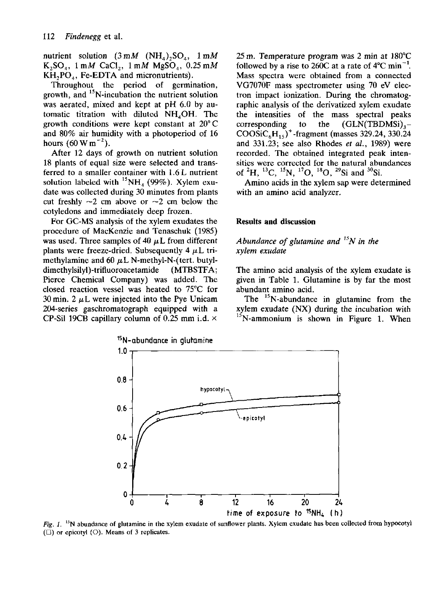nutrient solution  $(3 \text{ mM} (NH_4), SO_4, 1 \text{ mM} )$  $K_2SO_4$ , 1 mM CaCl<sub>2</sub>, 1 mM MgSO<sub>4</sub>, 0.25 mM  $KH<sub>2</sub>PO<sub>4</sub>$ , Fe-EDTA and micronutrients).

Throughout the period of germination, growth, and <sup>15</sup>N-incubation the nutrient solut was aerated, mixed and kept at pH 6.0 by automatic titration with diluted  $NH<sub>4</sub>OH$ . The growth conditions were kept constant at 20° C and 80% air humidity with a photoperiod of 16 hours  $(60 \text{ W m}^{-2})$ 

After 12 days of growth on nutrient solution 18 plants of equal size were selected and transferred to a smaller container with 1.6 L nutrient solution labeled with  ${}^{15}NH_4$  (99%). Xylem e date was collected during 30 minutes from plants cut freshly  $\sim$ 2 cm above or  $\sim$ 2 cm below the cotyledons and immediately deep frozen.

For GC-MS analysis of the xylem exudates the procedure of MacKenzie and Tenaschuk (1985) was used. Three samples of  $40 \mu L$  from different plants were freeze-dried. Subsequently 4  $\mu$ L trimethylamine and  $60 \mu L$  N-methyl-N-(tert. butyldimethylsilyl)-trifluoroacetamide (MTBSTFA; Pierce Chemical Company) was added. The closed reaction vessel was heated to 75°C for  $30 \text{ min. } 2 \mu L$  were injected into the Pye Unicam 204-series gaschromatograph equipped with a CP-Sil 19CB capillary column of 0.25 mm i.d.  $\times$ 

25 m. Temperature program was 2 min at 180°C followed by a rise to 260C at a rate of  $4^{\circ}$ C min<sup>-1</sup>. Mass spectra were obtained from a connected VG7070F mass spectrometer using 70 eV electron impact ionization. During the chromatographic analysis of the derivatized xylem exudate the intensities of the mass spectral peaks corresponding to the  $(GLN(TBDMSi))<sub>3</sub>$ - $COOSiC<sub>6</sub>H<sub>15</sub>$ <sup>+</sup>-fragment (masses 329.24, 330.24) and 331.23; see also Rhodes *et al.,* 1989) were recorded. The obtained integrated peak intensities were corrected for the natural abundances of  ${}^{2}H, {}^{13}C, {}^{15}N, {}^{17}O, {}^{18}O, {}^{29}Si$  and

Amino acids in the xylem sap were determined with an amino acid analyzer.

### **Results and discussion**

# *Abundance of glutamine and<sup>15</sup>N in the xylem exudate*

The amino acid analysis of the xylem exudate is given in Table 1. Glutamine is by far the most abundant amino acid.

The  $15$ N-abundance in glutamine from the xylem exudate (NX) during the incubation with N-ammonium is shown in Figure 1. When



*Fig. 1.* '<sup>5</sup>N abundance of glutamine in the xylem exudate of sunflower plants. Xylem exudate has been collected from hypocotyl  $(\Box)$  or epicotyl  $(\bigcirc)$ . Means of 3 replicates.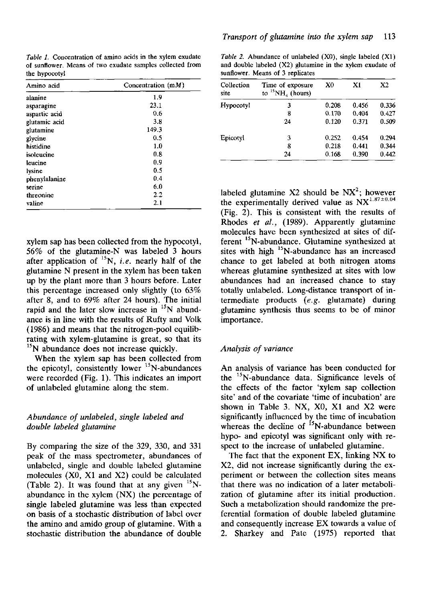*Table 1.* Concentration of amino acids in the xylem exudate of sunflower. Means of two exudate samples collected from the hypocotyl

| Amino acid    | Concentration $(mM)$ |  |
|---------------|----------------------|--|
| alanine       | 1.9                  |  |
| asparagine    | 23.1                 |  |
| aspartic acid | 0.6                  |  |
| glutamic acid | 3.8                  |  |
| glutamine     | 149.3                |  |
| glycine       | 0.5                  |  |
| histidine     | 1.0                  |  |
| isoleucine    | 0.8                  |  |
| leucine       | 0.9                  |  |
| lysine        | 0.5                  |  |
| phenyialanine | 0.4                  |  |
| serine        | 6.0                  |  |
| threonine     | $2.2\,$              |  |
| valine        | 2.1                  |  |

xylem sap has been collected from the hypocotyl, 56% of the glutamine-N was labeled 3 hours after application of  ${}^{15}N$ , *i.e.* nearly half of glutamine N present in the xylem has been taken up by the plant more than 3 hours before. Later this percentage increased only slightly (to 63% after 8, and to 69% after 24 hours). The initial rapid and the later slow increase in  $15N$  abundance is in line with the results of Rufty and Volk (1986) and means that the nitrogen-pool equilibrating with xylem-glutamine is great, so that its <sup>15</sup>N abundance does not increase quickly.

When the xylem sap has been collected from the epicotyl, consistently lower  $^{15}$ N-abundances were recorded (Fig. 1). This indicates an import of unlabeled glutamine along the stem.

## *Abundance of unlabeled, single labeled and double labeled glutamine*

By comparing the size of the 329, 330, and 331 peak of the mass spectrometer, abundances of unlabeled, single and double labeled glutamine molecules (X0, XI and X2) could be calculated (Table 2). It was found that at any given abundance in the xylem (NX) the percentage of single labeled glutamine was less than expected on basis of a stochastic distribution of label over the amino and amido group of glutamine. With a stochastic distribution the abundance of double

*Table 2.* Abundance of unlabeled (XO), single labeled (XI) and double labeled (X2) glutamine in the xylem exudate of sunflower. Means of 3 replicates

| Collection<br>site | Time of exposure<br>to ${}^{15}NH_{4}$ (hours) | X <sub>0</sub> | X <sub>1</sub> | X2    |
|--------------------|------------------------------------------------|----------------|----------------|-------|
| Hypocotyl          | 3                                              | 0.208          | 0.456          | 0.336 |
|                    | 8                                              | 0.170          | 0.404          | 0.427 |
|                    | 24                                             | 0.120          | 0.371          | 0.509 |
| Epicotyl           | 3                                              | 0.252          | 0.454          | 0.294 |
|                    | 8                                              | 0.218          | 0.441          | 0.344 |
|                    | 24                                             | 0.168          | 0.390          | 0.442 |

labeled glutamine X2 should be  $NX^2$ ; however the experimentally derived value as  $NX^{1.87\pm0.04}$ (Fig. 2). This is consistent with the results of Rhodes *et al.,* (1989). Apparently glutamine molecules have been synthesized at sites of different <sup>15</sup>N-abundance. Glutamine synthesized sites with high  $^{15}$ N-abundance has an increa chance to get labeled at both nitrogen atoms whereas glutamine synthesized at sites with low abundances had an increased chance to stay totally unlabeled. Long-distance transport of intermediate products *(e.g.* glutamate) during glutamine synthesis thus seems to be of minor importance.

# *Analysis of variance*

An analysis of variance has been conducted for the  $15$ N-abundance data. Significance levels the effects of the factor 'xylem sap collection site' and of the covariate 'time of incubation' are shown in Table 3. NX, X0, XI and X2 were significantly influenced by the time of incuba whereas the decline of <sup>15</sup>N-abundance betwe hypo- and epicotyl was significant only with respect to the increase of unlabeled glutamine.

The fact that the exponent EX, linking NX to X2, did not increase significantly during the experiment or between the collection sites means that there was no indication of a later metabolization of glutamine after its initial production. Such a metabolization should randomize the preferential formation of double labeled glutamine and consequently increase EX towards a value of 2. Sharkey and Pate (1975) reported that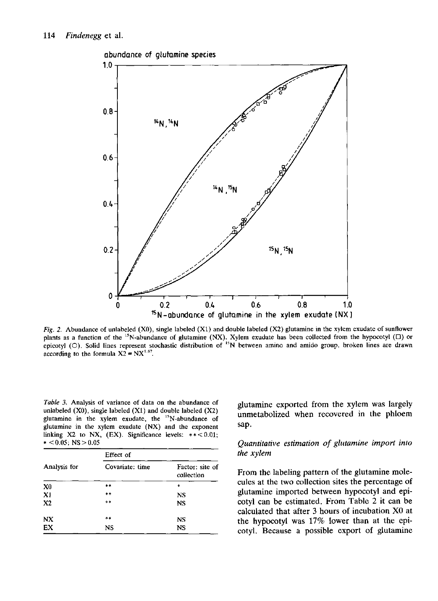

*Fig. 2.* Abundance of unlabeled (XO), single labeled (XI) and double labeled (X2) glutamine in the xylem exudate of sunflower plants as a function of the <sup>15</sup>N-abundance of glutamine (NX). Xylem exudate has been collected from the hypoc picotyl (O). Solid lines represent stochastic distribution of <sup>15</sup>N between amino and amido group, broken lines according to the formula  $X2 = NX$ 

*Table 3.* Analysis of variance of data on the abundance of unlabeled  $(X0)$ , single labeled  $(X1)$  and double labeled  $(X2)$ glutamine in the xylem exudate, the <sup>15</sup>N-abundance glutamine in the xylem exudate (NX) and the exponent linking X2 to NX, (EX). Significance levels:  $**<0.01$ ;  $* < 0.05$ ; NS  $> 0.05$ 

|                | Effect of       |                               |  |
|----------------|-----------------|-------------------------------|--|
| Analysis for   | Covariate: time | Factor: site of<br>collection |  |
| X <sub>0</sub> | $***$           | *                             |  |
| X1             | **              | NS                            |  |
| X <sub>2</sub> | **              | <b>NS</b>                     |  |
| <b>NX</b>      | $* *$           | NS                            |  |
| EX             | NS              | NS                            |  |

glutamine exported from the xylem was largely unmetabolized when recovered in the phloem sap.

# *Quantitative estimation of glutamine import into the xylem*

From the labeling pattern of the glutamine molecules at the two collection sites the percentage of glutamine imported between hypocotyl and epicotyl can be estimated. From Table 2 it can be calculated that after 3 hours of incubation XO at the hypocotyl was 17% lower than at the epicotyl. Because a possible export of glutamine